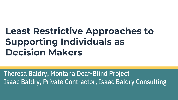### **Least Restrictive Approaches to Supporting Individuals as Decision Makers**

Theresa Baldry, Montana Deaf-Blind Project Isaac Baldry, Private Contractor, Isaac Baldry Consulting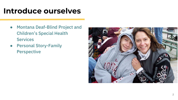#### **Introduce ourselves**

- Montana Deaf-Blind Project and Children's Special Health **Services**
- Personal Story-Family Perspective

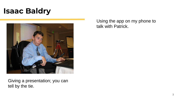#### **Isaac Baldry**



Using the app on my phone to talk with Patrick.

Giving a presentation; you can tell by the tie.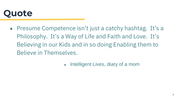

- Presume Competence isn't just a catchy hashtag. It's a Philosophy. It's a Way of Life and Faith and Love. It's Believing in our Kids and in so doing Enabling them to Believe in Themselves.
	- Intelligent Lives, diary of a mom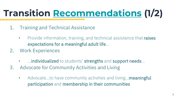# **Transition [Recommendations](https://www.nationaldb.org/products/transition-recommendations/) (1/2)**

- 1. Training and Technical Assistance
	- Provide information, training, and technical assistance that raises expectations for a meaningful adult life...
- 2. Work Experiences
	- **EXECTE 20** …individualized to students' strengths and support needs...
- 3. Advocate for Community Activities and Living
	- Advocate...to have community activities and living...meaningful participation and membership in their communities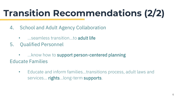# **Transition Recommendations (2/2)**

- 4. School and Adult Agency Collaboration
	- **...** seamless transition... to **adult life**
- 5. Qualified Personnel
- ... know how to support person-centered planning Educate Families
	- Educate and inform families…transitions process, adult laws and services... rights...long-term supports.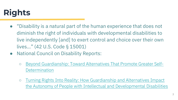### **Rights**

- "Disability is a natural part of the human experience that does not diminish the right of individuals with developmental disabilities to live independently [and] to exert control and choice over their own lives…" (42 U.S. Code § 15001)
- National Council on Disability Reports:
	- o [Beyond Guardianship: Toward Alternatives That Promote Greater Self-](https://ncd.gov/sites/default/files/NCD_Guardianship_Report_Accessible.pdf)**Determination**
	- Turning Rights Into Reality: How Guardianship and Alternatives Impact [the Autonomy of People with Intellectual and Developmental Disabilities](https://ncd.gov/publications/2019/turning-rights-into-reality)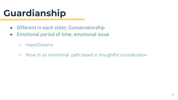# **Guardianship**

- Different in each state; Conservatorship
- Emotional period of time, emotional issue
	- Hope/Dreams
	- Move to an intentional path based in thoughtful consideration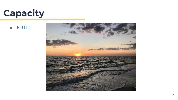### **Capacity**

● FLUID

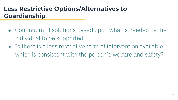#### **Less Restrictive Options/Alternatives to Guardianship**

- Continuum of solutions based upon what is needed by the individual to be supported.
- $\bullet$  Is there is a less restrictive form of intervention available which is consistent with the person's welfare and safety?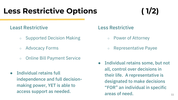#### **Less Restrictive Options ( 1/2)**

#### Least Restrictive

- Supported Decision Making
- Advocacy Forms
- Online Bill Payment Service
- Individual retains full independence and full decisionmaking power, YET is able to access support as needed.

#### Less Restrictive

- Power of Attorney
- Representative Payee
- Individual retains some, but not all, control over decisions in their life. A representative is designated to make decisions "FOR" an individual in specific areas of need. The contract of the contract of the contract of the contract of the contract of the contract of the contract of the contract of the contract of the contract of the contract of the contract of the contract of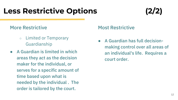#### **Less Restrictive Options (2/2)**

#### More Restrictive

- Limited or Temporary Guardianship
- A Guardian is limited in which areas they act as the decision maker for the individual, or serves for a specific amount of time based upon what is needed by the individual . The order is tailored by the court.

#### Most Restrictive

● A Guardian has full decisionmaking control over all areas of an individual's life. Requires a court order.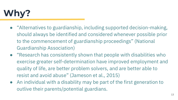

- "Alternatives to guardianship, including supported decision-making, should always be identified and considered whenever possible prior to the commencement of guardianship proceedings" (National Guardianship Association)
- "Research has consistently shown that people with disabilities who exercise greater self-determination have improved employment and quality of life, are better problem solvers, and are better able to resist and avoid abuse" (Jameson et al., 2015)
- An individual with a disability may be part of the first generation to outlive their parents/potential guardians.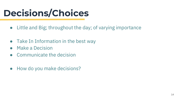# **Decisions/Choices**

- Little and Big; throughout the day; of varying importance
- Take In Information in the best way
- Make a Decision
- Communicate the decision
- How do you make decisions?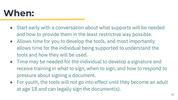### **When:**

- Start early with a conversation about what supports will be needed and how to provide them in the least restrictive way possible.
- Allows time for you to develop the tools, and most importantly allows time for the individual being supported to understand the tools and how they will be used.
- Time may be needed for the individual to develop a signature and receive training in what to sign, when to sign, and how to respond to pressure about signing a document.
- For youth, the tools will not go into effect until they become an adult at age 18 and can legally sign the document(s).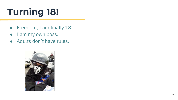# **Turning 18!**

- Freedom, I am finally 18!
- I am my own boss.
- Adults don't have rules.

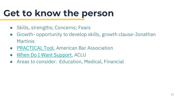# **Get to know the person**

- Skills, strengths; Concerns; Fears
- Growth- opportunity to develop skills, growth clause-Jonathan Martinis
- [PRACTICAL Tool,](https://www.americanbar.org/groups/law_aging/resources/guardianship_law_practice/practical_tool/) American Bar Association
- [When Do I Want Support,](https://www.aclu.org/other/when-do-i-want-support) ACLU
- Areas to consider: Education, Medical, Financial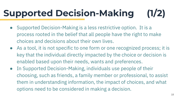# **Supported Decision-Making (1/2)**

- Supported Decision-Making is a less restrictive option. It is a process rooted in the belief that all people have the right to make choices and decisions about their own lives.
- As a tool, it is not specific to one form or one recognized process; it is key that the individual directly impacted by the choice or decision is enabled based upon their needs, wants and preferences.
- In Supported Decision-Making, individuals use people of their choosing, such as friends, a family member or professional, to assist them in understanding information, the impact of choices, and what options need to be considered in making a decision.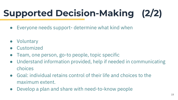# **Supported Decision-Making (2/2)**

- Everyone needs support-determine what kind when
- Voluntary
- **Customized**
- Team, one person, go-to people, topic specific
- Understand information provided, help if needed in communicating choices
- Goal: individual retains control of their life and choices to the maximum extent.
- Develop a plan and share with need-to-know people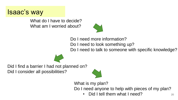#### Isaac's way

What do I have to decide? What am I worried about?



Do I need more information? Do I need to look something up? Do I need to talk to someone with specific knowledge?



Did I find a barrier I had not planned on? Did I consider all possibilities?



What is my plan? Do I need anyone to help with pieces of my plan?

Did I tell them what I need?  $20$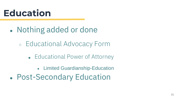### **Education**

- Nothing added or done
	- Educational Advocacy Form
		- Educational Power of Attorney
			- Limited Guardianship-Education
- Post-Secondary Education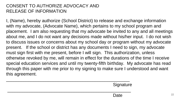#### CONSENT TO AUTHORIZE ADVOCACY AND RELEASE OF INFORMATION

I, (Name), hereby authorize (School District) to release and exchange information with my advocate, (Advocate Name), which pertains to my school program and placement. I am also requesting that my advocate be invited to any and all meetings about me, and I do not want any decisions made without his/her input. I do not wish to discuss issues or concerns about my school day or program without my advocate present. If the school or district has any documents I need to sign, my advocate must sign first with me present, before I will sign. This authorization, unless otherwise revoked by me, will remain in effect for the durations of the time I receive special education services and until my twenty-fifth birthday. My advocate has read through this paper with me prior to my signing to make sure I understood and want this agreement.

\_\_\_\_\_\_\_\_\_\_\_\_\_\_\_\_\_\_\_\_\_\_\_\_\_\_\_\_\_\_\_\_\_\_\_\_\_\_\_\_\_\_\_\_\_\_\_\_\_\_ **Signature** \_\_\_\_\_\_\_\_\_\_\_\_\_\_\_\_\_\_\_\_\_\_\_\_\_\_\_\_\_\_\_\_\_\_\_\_\_\_\_\_\_\_\_\_\_\_\_\_\_\_ Date  $22$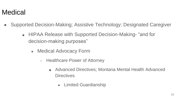#### **Medical**

- Supported Decision-Making; Assistive Technology; Designated Caregiver
	- HIPAA Release with Supported Decision-Making- "and for decision-making purposes"
		- Medical Advocacy Form
			- Healthcare Power of Attorney
				- Advanced Directives; Montana Mental Health Advanced **Directives** 
					- Limited Guardianship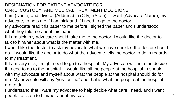#### DESIGNATION FOR PATIENT ADVOCATE FOR CARE, CUSTODY, AND MEDICAL TREATMENT DECISIONS

- I am (Name) and I live at (Address) in (City), (State). I want (Advocate Name), my advocate, to help me if I am sick and if I need to go to the doctor.
- My advocate read this paper to me before I signed the paper and I understood what they told me about this paper.
- If I am sick, my advocate should take me to the doctor. I would like the doctor to talk to him/her about what is the matter with me.
- I would like the doctor to ask my advocate what we have decided the doctor should do. I would like the doctor to do what the advocate tells the doctor to do in regards to my treatment.
- If I am very sick, I might need to go to a hospital. My advocate will help me decide if I need to go to the hospital. I would like all the people at the hospital to speak with my advocate and myself about what the people at the hospital should do for me. My advocate will say "yes" or "no" and that is what the people at the hospital are to do.
- I understand that I want my advocate to help decide what care I need, and I want people to listen to him/her about my care.  $24$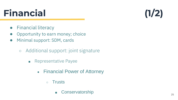25

# **Financial (1/2)**

- Financial literacy
- **Opportunity to earn money; choice**
- Minimal support: SDM, cards
	- Additional support: joint signature
		- Representative Payee
			- Financial Power of Attorney
				- Trusts
					- Conservatorship

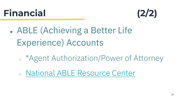### **Financial (2/2)**



- ABLE (Achieving a Better Life Experience) Accounts
	- \*Agent Authorization/Power of Attorney
	- [National ABLE Resource Center](https://www.ablenrc.org/)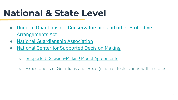### **National & State Level**

- [Uniform Guardianship, Conservatorship, and other Protective](https://my.uniformlaws.org/committees/community-home?CommunityKey=2eba8654-8871-4905-ad38-aabbd573911c&CLK=d654559b-a809-4e99-b530-5e1639fe715f) Arrangements Act
- [National Guardianship Association](https://www.guardianship.org/what-is-guardianship/)
- [National Center for Supported Decision Making](http://www.supporteddecisionmaking.org/)
	- [Supported Decision-Making Model Agreements](http://www.supporteddecisionmaking.org/node/390)
	- Expectations of Guardians and Recognition of tools varies within states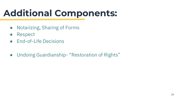# **Additional Components:**

- Notarizing, Sharing of Forms
- Respect
- End-of-Life Decisions
- Undoing Guardianship- "Restoration of Rights"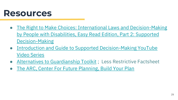#### **Resources**

- The Right to Make Choices: International Laws and Decision-Making [by People with Disabilities, Easy Read Edition, Part 2: Supported](http://autisticadvocacy.org/wp-content/uploads/2016/02/Easy-Read-OSF-2-Supported-Decision-Making-v3.pdf)  Decision-Making
- [Introduction and Guide to Supported Decision-Making YouTube](https://www.youtube.com/playlist?list=PLKdIRbjdmxgeDSVBZhEFyrzIIi9zjO3Mc) Video Series
- [Alternatives to Guardianship Toolkit](http://transition.ruralinstitute.umt.edu/alternatives-to-guardianship/#_Toc505870861) ; Less Restrictive Factsheet
- [The ARC, Center For Future Planning, Build Your Plan](https://futureplanning.thearc.org/landing)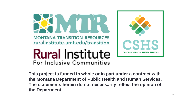



**This project is funded in whole or in part under a contract with the Montana Department of Public Health and Human Services. The statements herein do not necessarily reflect the opinion of the Department.**